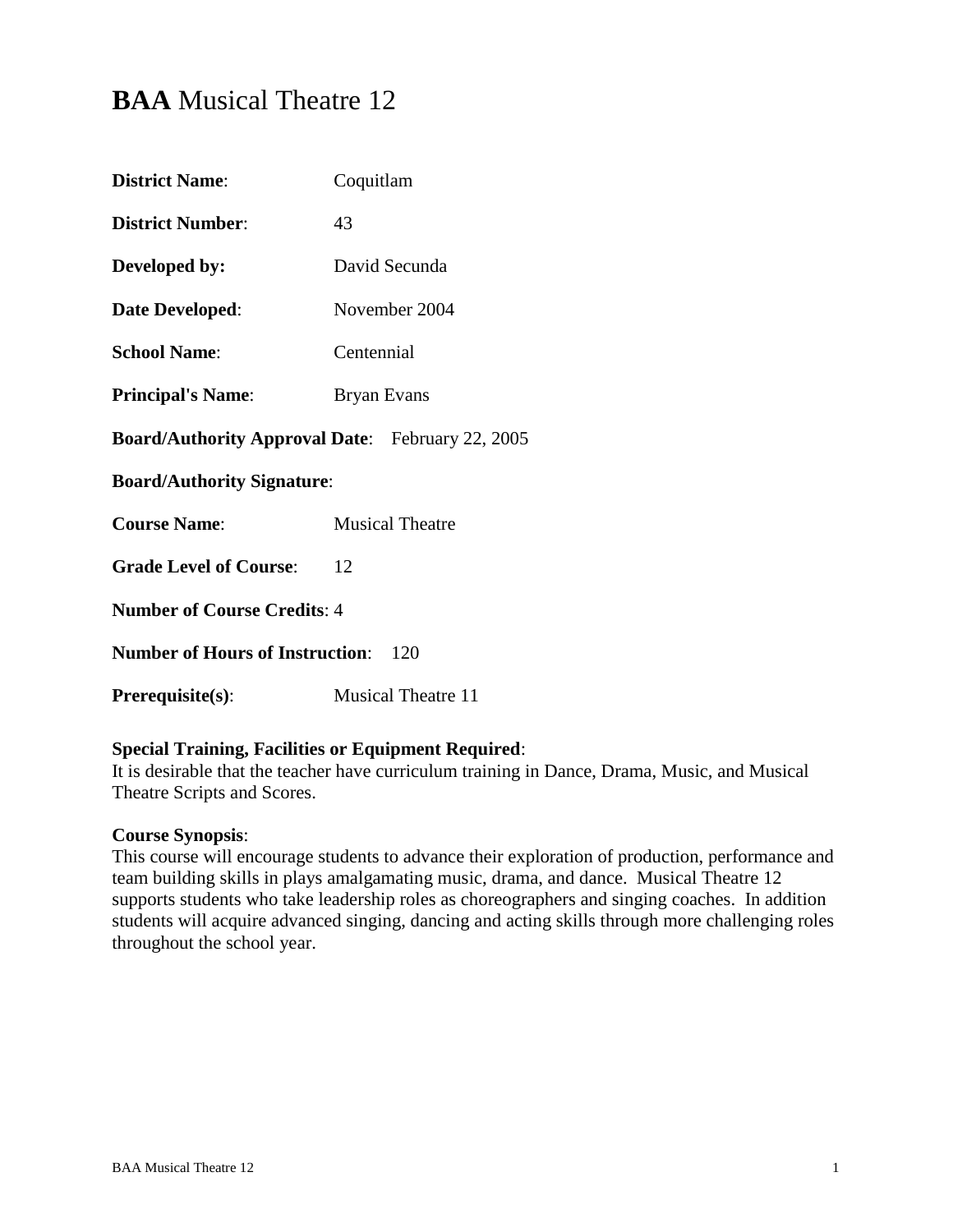# **BAA** Musical Theatre 12

| Coquitlam                                               |  |  |  |
|---------------------------------------------------------|--|--|--|
| 43                                                      |  |  |  |
| David Secunda                                           |  |  |  |
| November 2004                                           |  |  |  |
| Centennial                                              |  |  |  |
| Bryan Evans                                             |  |  |  |
| <b>Board/Authority Approval Date:</b> February 22, 2005 |  |  |  |
| <b>Board/Authority Signature:</b>                       |  |  |  |
| <b>Musical Theatre</b>                                  |  |  |  |
| 12                                                      |  |  |  |
| <b>Number of Course Credits: 4</b>                      |  |  |  |
| <b>Number of Hours of Instruction:</b><br>120           |  |  |  |
|                                                         |  |  |  |
|                                                         |  |  |  |

# **Special Training, Facilities or Equipment Required**:

It is desirable that the teacher have curriculum training in Dance, Drama, Music, and Musical Theatre Scripts and Scores.

#### **Course Synopsis**:

This course will encourage students to advance their exploration of production, performance and team building skills in plays amalgamating music, drama, and dance. Musical Theatre 12 supports students who take leadership roles as choreographers and singing coaches. In addition students will acquire advanced singing, dancing and acting skills through more challenging roles throughout the school year.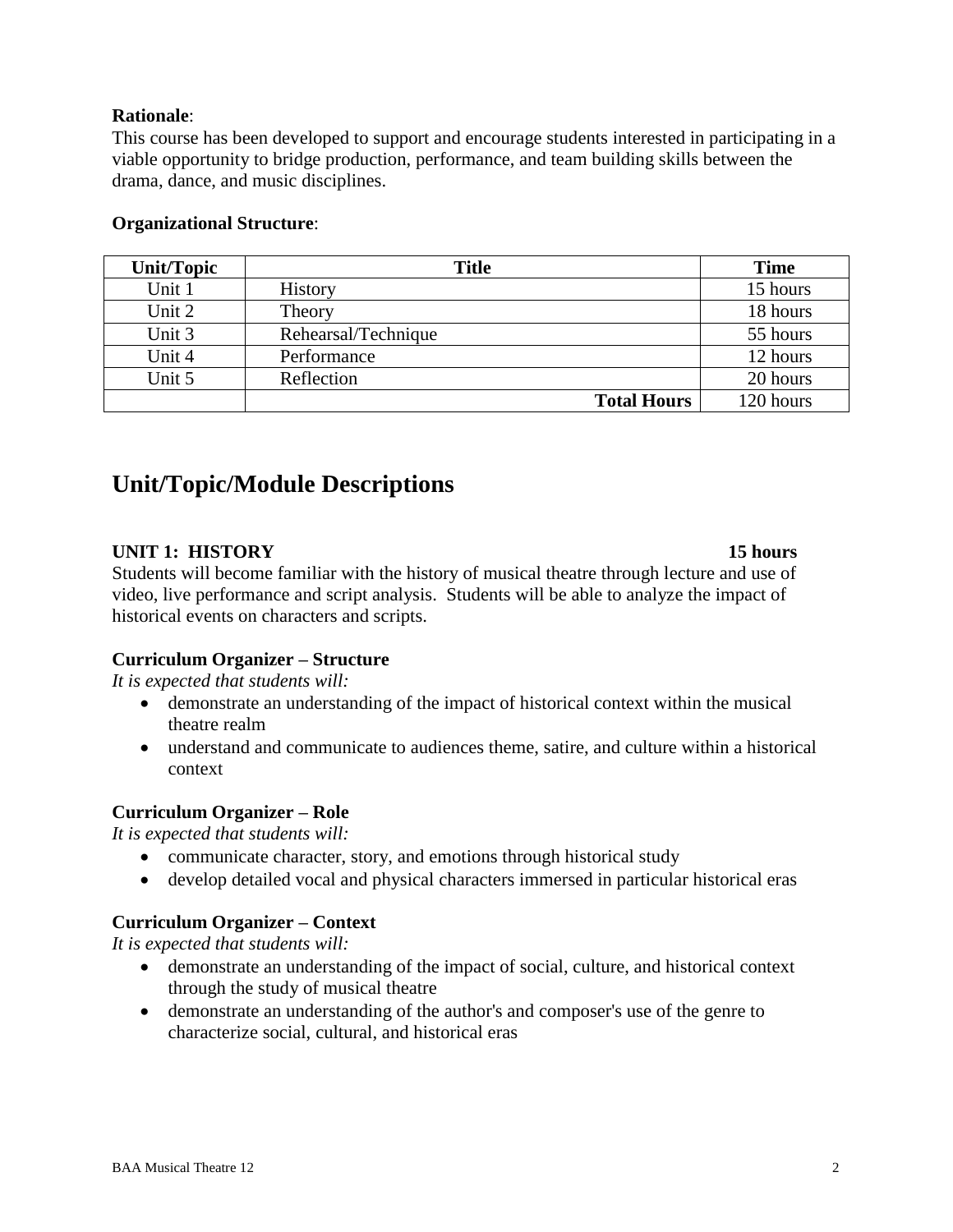# **Rationale**:

This course has been developed to support and encourage students interested in participating in a viable opportunity to bridge production, performance, and team building skills between the drama, dance, and music disciplines.

| <b>Unit/Topic</b> | <b>Title</b>        | <b>Time</b> |
|-------------------|---------------------|-------------|
| Unit 1            | <b>History</b>      | 15 hours    |
| Unit 2            | Theory              | 18 hours    |
| Unit 3            | Rehearsal/Technique | 55 hours    |
| Unit 4            | Performance         | 12 hours    |
| Unit 5            | Reflection          | 20 hours    |
|                   | <b>Total Hours</b>  | 120 hours   |

# **Organizational Structure**:

# **Unit/Topic/Module Descriptions**

# **UNIT 1: HISTORY 15 hours**

Students will become familiar with the history of musical theatre through lecture and use of video, live performance and script analysis. Students will be able to analyze the impact of historical events on characters and scripts.

#### **Curriculum Organizer – Structure**

*It is expected that students will:*

- demonstrate an understanding of the impact of historical context within the musical theatre realm
- understand and communicate to audiences theme, satire, and culture within a historical context

#### **Curriculum Organizer – Role**

*It is expected that students will:*

- communicate character, story, and emotions through historical study
- develop detailed vocal and physical characters immersed in particular historical eras

#### **Curriculum Organizer – Context**

*It is expected that students will:*

- demonstrate an understanding of the impact of social, culture, and historical context through the study of musical theatre
- demonstrate an understanding of the author's and composer's use of the genre to characterize social, cultural, and historical eras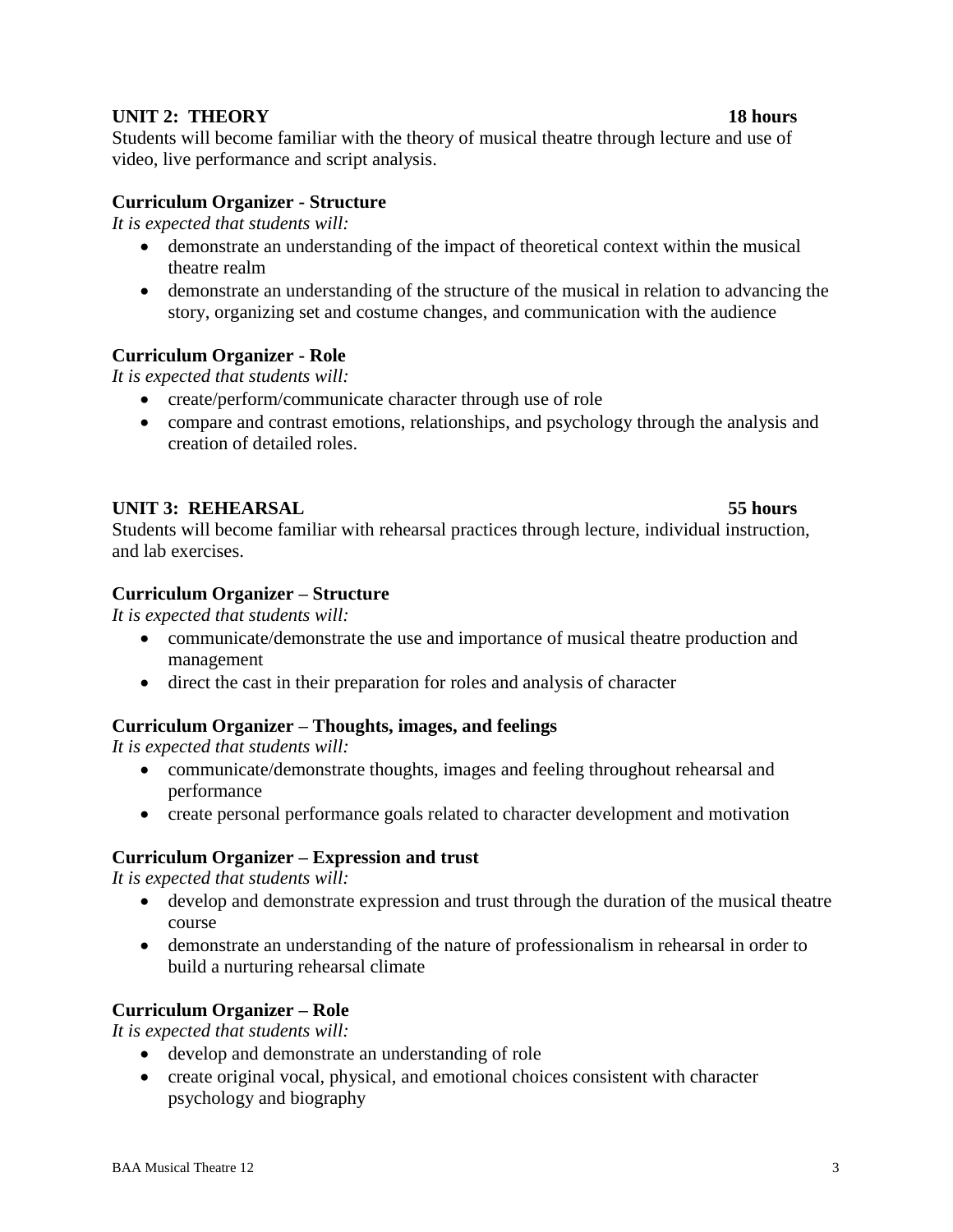# **UNIT 2: THEORY 18 hours**

Students will become familiar with the theory of musical theatre through lecture and use of video, live performance and script analysis.

# **Curriculum Organizer - Structure**

*It is expected that students will:*

- demonstrate an understanding of the impact of theoretical context within the musical theatre realm
- demonstrate an understanding of the structure of the musical in relation to advancing the story, organizing set and costume changes, and communication with the audience

# **Curriculum Organizer - Role**

*It is expected that students will:*

- create/perform/communicate character through use of role
- compare and contrast emotions, relationships, and psychology through the analysis and creation of detailed roles.

# **UNIT 3: REHEARSAL 55 hours**

Students will become familiar with rehearsal practices through lecture, individual instruction, and lab exercises.

# **Curriculum Organizer – Structure**

*It is expected that students will:*

- communicate/demonstrate the use and importance of musical theatre production and management
- direct the cast in their preparation for roles and analysis of character

# **Curriculum Organizer – Thoughts, images, and feelings**

*It is expected that students will:*

- communicate/demonstrate thoughts, images and feeling throughout rehearsal and performance
- create personal performance goals related to character development and motivation

# **Curriculum Organizer – Expression and trust**

*It is expected that students will:*

- develop and demonstrate expression and trust through the duration of the musical theatre course
- demonstrate an understanding of the nature of professionalism in rehearsal in order to build a nurturing rehearsal climate

# **Curriculum Organizer – Role**

*It is expected that students will:*

- develop and demonstrate an understanding of role
- create original vocal, physical, and emotional choices consistent with character psychology and biography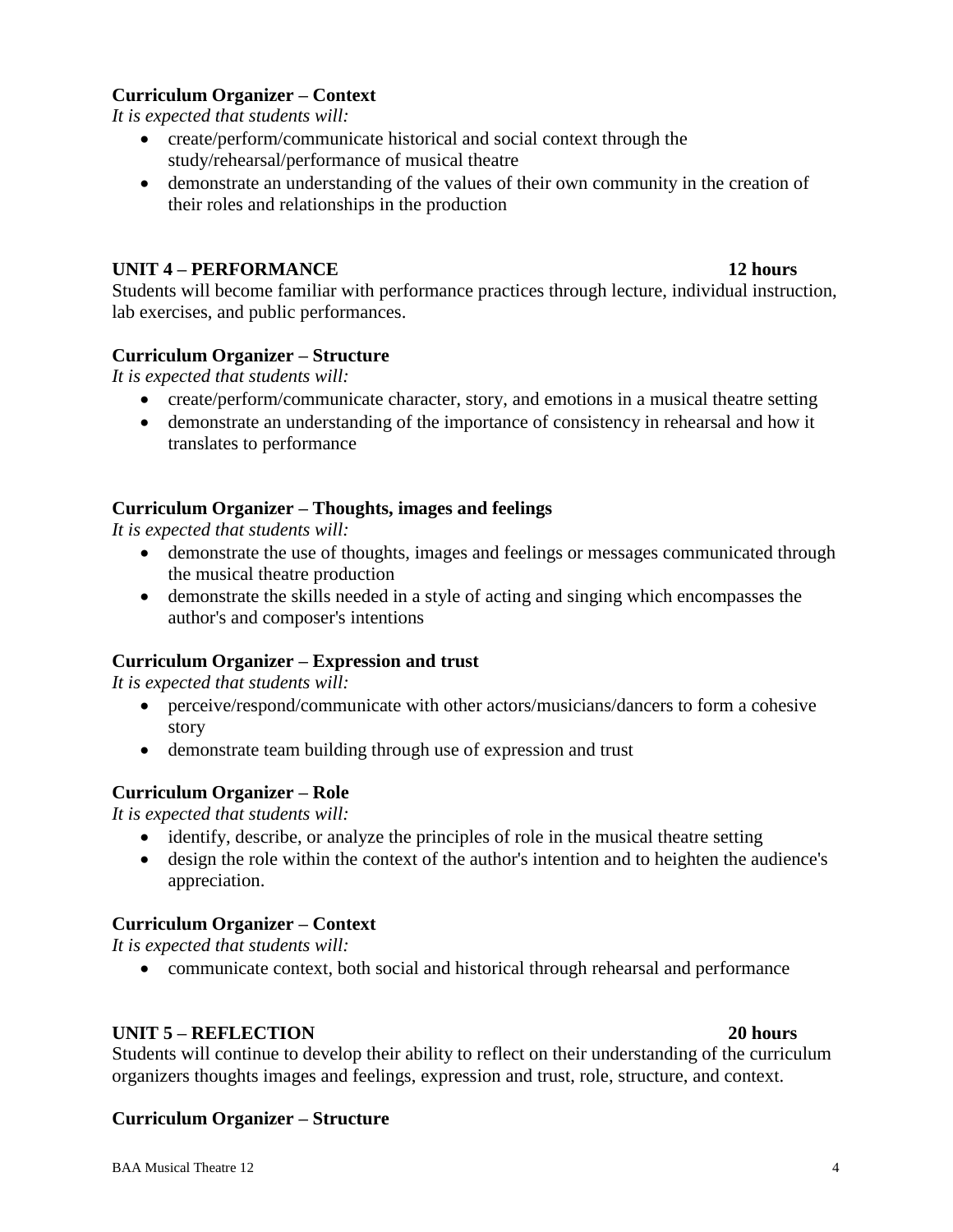# **Curriculum Organizer – Context**

*It is expected that students will:*

- create/perform/communicate historical and social context through the study/rehearsal/performance of musical theatre
- demonstrate an understanding of the values of their own community in the creation of their roles and relationships in the production

# **UNIT 4 – PERFORMANCE 12 hours**

Students will become familiar with performance practices through lecture, individual instruction, lab exercises, and public performances.

# **Curriculum Organizer – Structure**

*It is expected that students will:*

- create/perform/communicate character, story, and emotions in a musical theatre setting
- demonstrate an understanding of the importance of consistency in rehearsal and how it translates to performance

# **Curriculum Organizer – Thoughts, images and feelings**

*It is expected that students will:*

- demonstrate the use of thoughts, images and feelings or messages communicated through the musical theatre production
- demonstrate the skills needed in a style of acting and singing which encompasses the author's and composer's intentions

#### **Curriculum Organizer – Expression and trust**

*It is expected that students will:*

- perceive/respond/communicate with other actors/musicians/dancers to form a cohesive story
- demonstrate team building through use of expression and trust

#### **Curriculum Organizer – Role**

*It is expected that students will:*

- identify, describe, or analyze the principles of role in the musical theatre setting
- design the role within the context of the author's intention and to heighten the audience's appreciation.

#### **Curriculum Organizer – Context**

*It is expected that students will:*

communicate context, both social and historical through rehearsal and performance

#### **UNIT 5 – REFLECTION 20 hours**

Students will continue to develop their ability to reflect on their understanding of the curriculum organizers thoughts images and feelings, expression and trust, role, structure, and context.

#### **Curriculum Organizer – Structure**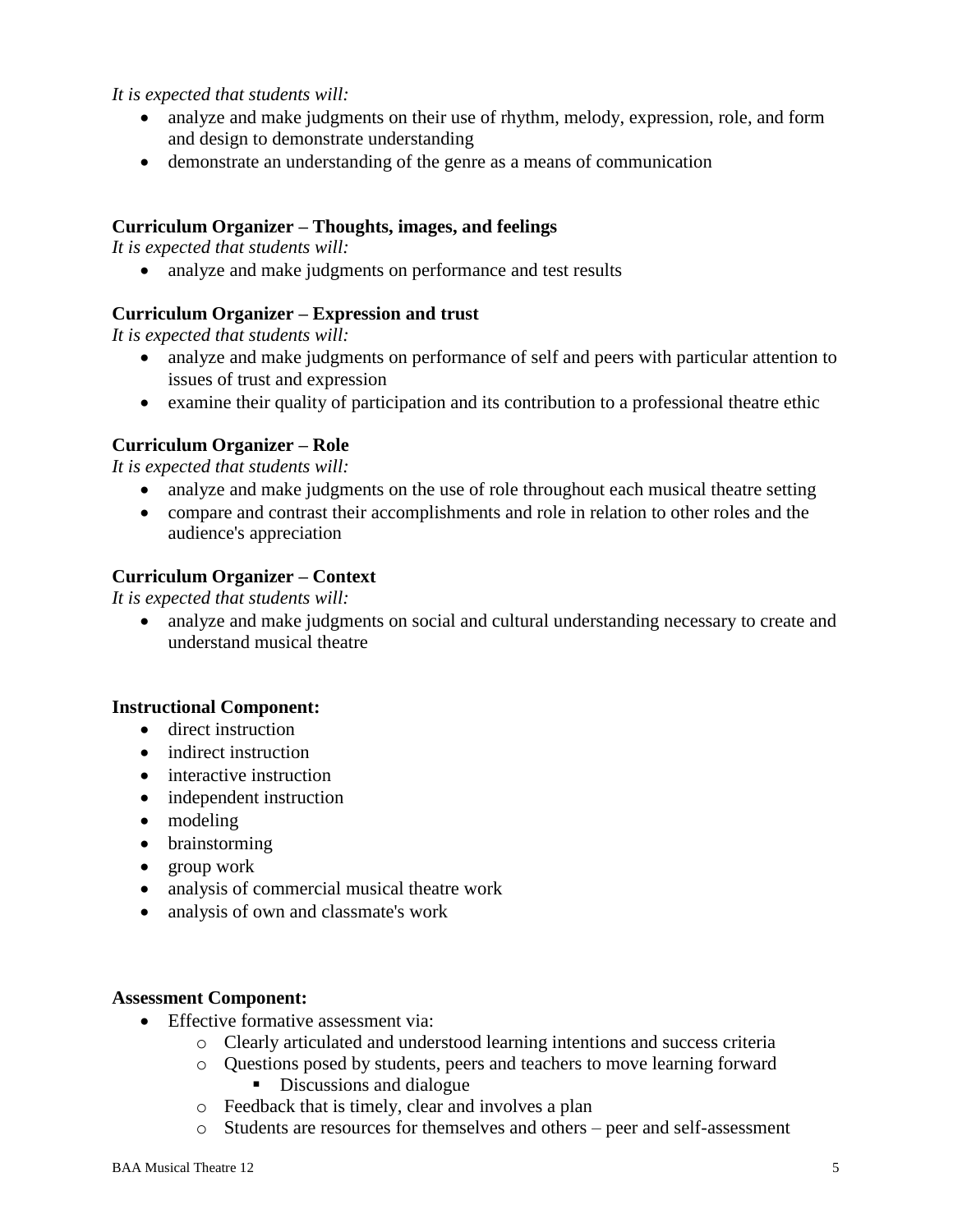*It is expected that students will:*

- analyze and make judgments on their use of rhythm, melody, expression, role, and form and design to demonstrate understanding
- demonstrate an understanding of the genre as a means of communication

#### **Curriculum Organizer – Thoughts, images, and feelings**

*It is expected that students will:*

• analyze and make judgments on performance and test results

# **Curriculum Organizer – Expression and trust**

*It is expected that students will:*

- analyze and make judgments on performance of self and peers with particular attention to issues of trust and expression
- examine their quality of participation and its contribution to a professional theatre ethic

# **Curriculum Organizer – Role**

*It is expected that students will:*

- analyze and make judgments on the use of role throughout each musical theatre setting
- compare and contrast their accomplishments and role in relation to other roles and the audience's appreciation

# **Curriculum Organizer – Context**

*It is expected that students will:*

• analyze and make judgments on social and cultural understanding necessary to create and understand musical theatre

#### **Instructional Component:**

- **direct instruction**
- indirect instruction
- interactive instruction
- independent instruction
- modeling
- brainstorming
- group work
- analysis of commercial musical theatre work
- analysis of own and classmate's work

#### **Assessment Component:**

- Effective formative assessment via:
	- o Clearly articulated and understood learning intentions and success criteria
	- o Questions posed by students, peers and teachers to move learning forward Discussions and dialogue
	- o Feedback that is timely, clear and involves a plan
	- o Students are resources for themselves and others peer and self-assessment